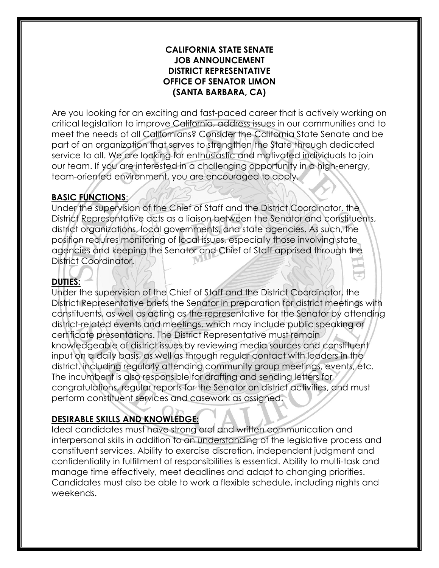#### **CALIFORNIA STATE SENATE JOB ANNOUNCEMENT DISTRICT REPRESENTATIVE OFFICE OF SENATOR LIMON (SANTA BARBARA, CA)**

Are you looking for an exciting and fast-paced career that is actively working on critical legislation to improve California, address issues in our communities and to meet the needs of all Californians? Consider the California State Senate and be part of an organization that serves to strengthen the State through dedicated service to all. We are looking for enthusiastic and motivated individuals to join our team. If you are interested in a challenging opportunity in a high-energy, team-oriented environment, you are encouraged to apply.

## **BASIC FUNCTIONS**:

Under the supervision of the Chief of Staff and the District Coordinator, the District Representative acts as a liaison between the Senator and constituents, district organizations, local governments, and state agencies. As such, the position requires monitoring of local issues, especially those involving state agencies and keeping the Senator and Chief of Staff apprised through the District Coordinator.

## **DUTIES:**

Under the supervision of the Chief of Staff and the District Coordinator, the District Representative briefs the Senator in preparation for district meetings with constituents, as well as acting as the representative for the Senator by attending district-related events and meetings, which may include public speaking or certificate presentations. The District Representative must remain knowledgeable of district issues by reviewing media sources and constituent input on a daily basis, as well as through regular contact with leaders in the district, including regularly attending community group meetings, events, etc. The incumbent is also responsible for drafting and sending letters for congratulations, regular reports for the Senator on district activities, and must perform constituent services and casework as assigned.

## **DESIRABLE SKILLS AND KNOWLEDGE:**

Ideal candidates must have strong oral and written communication and interpersonal skills in addition to an understanding of the legislative process and constituent services. Ability to exercise discretion, independent judgment and confidentiality in fulfillment of responsibilities is essential. Ability to multi-task and manage time effectively, meet deadlines and adapt to changing priorities. Candidates must also be able to work a flexible schedule, including nights and weekends.